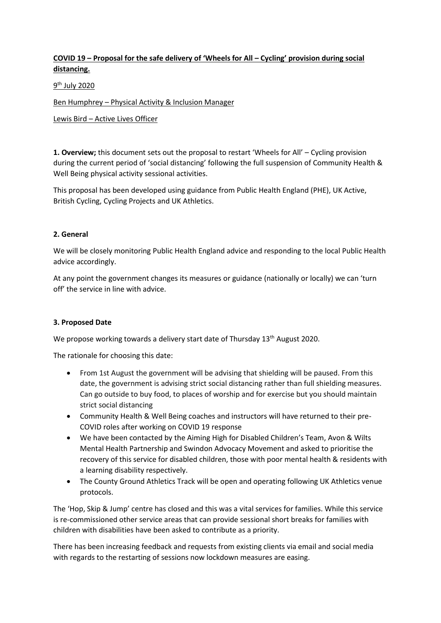# **COVID 19 – Proposal for the safe delivery of 'Wheels for All – Cycling' provision during social distancing.**

<u>9<sup>th</sup> July 2020</u>

Ben Humphrey – Physical Activity & Inclusion Manager

Lewis Bird – Active Lives Officer

**1. Overview;** this document sets out the proposal to restart 'Wheels for All' – Cycling provision during the current period of 'social distancing' following the full suspension of Community Health & Well Being physical activity sessional activities.

This proposal has been developed using guidance from Public Health England (PHE), UK Active, British Cycling, Cycling Projects and UK Athletics.

### **2. General**

We will be closely monitoring Public Health England advice and responding to the local Public Health advice accordingly.

At any point the government changes its measures or guidance (nationally or locally) we can 'turn off' the service in line with advice.

#### **3. Proposed Date**

We propose working towards a delivery start date of Thursday 13<sup>th</sup> August 2020.

The rationale for choosing this date:

- From 1st August the government will be advising that shielding will be paused. From this date, the government is advising strict social distancing rather than full shielding measures. Can go outside to buy food, to places of worship and for exercise but you should maintain strict social distancing
- Community Health & Well Being coaches and instructors will have returned to their pre-COVID roles after working on COVID 19 response
- We have been contacted by the Aiming High for Disabled Children's Team, Avon & Wilts Mental Health Partnership and Swindon Advocacy Movement and asked to prioritise the recovery of this service for disabled children, those with poor mental health & residents with a learning disability respectively.
- The County Ground Athletics Track will be open and operating following UK Athletics venue protocols.

The 'Hop, Skip & Jump' centre has closed and this was a vital services for families. While this service is re-commissioned other service areas that can provide sessional short breaks for families with children with disabilities have been asked to contribute as a priority.

There has been increasing feedback and requests from existing clients via email and social media with regards to the restarting of sessions now lockdown measures are easing.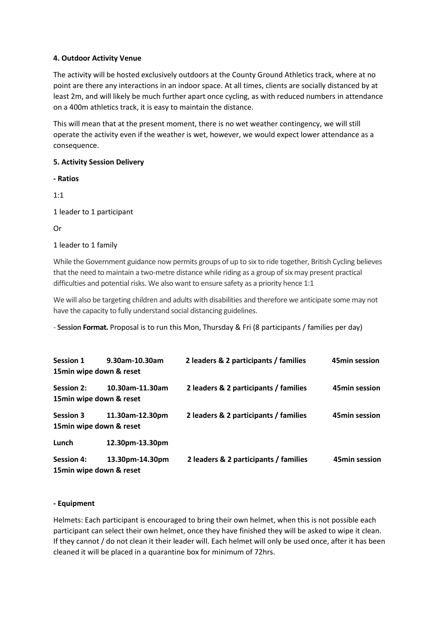### **4. Outdoor Activity Venue**

The activity will be hosted exclusively outdoors at the County Ground Athletics track, where at no point are there any interactions in an indoor space. At all times, clients are socially distanced by at least 2m, and will likely be much further apart once cycling, as with reduced numbers in attendance on a 400m athletics track, it is easy to maintain the distance.

This will mean that at the present moment, there is no wet weather contingency, we will still operate the activity even if the weather is wet, however, we would expect lower attendance as a consequence.

### **5. Activity Session Delivery**

**- Ratios**

1:1

1 leader to 1 participant

Or

### 1 leader to 1 family

While the Government guidance now permits groups of up to six to ride together, British Cycling believes that the need to maintain a two-metre distance while riding as a group of six may present practical difficulties and potential risks. We also want to ensure safety as a priority hence 1:1

We will also be targeting children and adults with disabilities and therefore we anticipate some may not have the capacity to fully understand social distancing guidelines.

- **Session Format.** Proposal is to run this Mon, Thursday & Fri (8 participants / families per day)

| <b>Session 1</b>  | 9.30am-10.30am           | 2 leaders & 2 participants / families | 45min session |
|-------------------|--------------------------|---------------------------------------|---------------|
|                   | 15min wipe down & reset  |                                       |               |
| <b>Session 2:</b> | 10.30am-11.30am          | 2 leaders & 2 participants / families | 45min session |
|                   | 15min wipe down & reset  |                                       |               |
| <b>Session 3</b>  | 11.30am-12.30pm          | 2 leaders & 2 participants / families | 45min session |
|                   | 15min wipe down & reset  |                                       |               |
| Lunch             | 12.30pm-13.30pm          |                                       |               |
| <b>Session 4:</b> | 13.30pm-14.30pm          | 2 leaders & 2 participants / families | 45min session |
|                   | 15 min wipe down & reset |                                       |               |

#### **- Equipment**

Helmets: Each participant is encouraged to bring their own helmet, when this is not possible each participant can select their own helmet, once they have finished they will be asked to wipe it clean. If they cannot / do not clean it their leader will. Each helmet will only be used once, after it has been cleaned it will be placed in a quarantine box for minimum of 72hrs.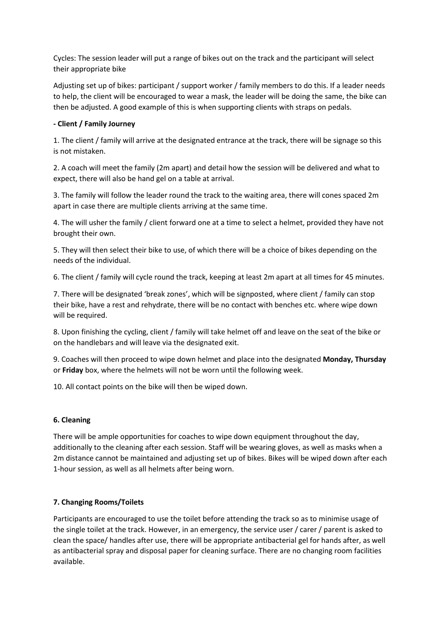Cycles: The session leader will put a range of bikes out on the track and the participant will select their appropriate bike

Adjusting set up of bikes: participant / support worker / family members to do this. If a leader needs to help, the client will be encouraged to wear a mask, the leader will be doing the same, the bike can then be adjusted. A good example of this is when supporting clients with straps on pedals.

## **- Client / Family Journey**

1. The client / family will arrive at the designated entrance at the track, there will be signage so this is not mistaken.

2. A coach will meet the family (2m apart) and detail how the session will be delivered and what to expect, there will also be hand gel on a table at arrival.

3. The family will follow the leader round the track to the waiting area, there will cones spaced 2m apart in case there are multiple clients arriving at the same time.

4. The will usher the family / client forward one at a time to select a helmet, provided they have not brought their own.

5. They will then select their bike to use, of which there will be a choice of bikes depending on the needs of the individual.

6. The client / family will cycle round the track, keeping at least 2m apart at all times for 45 minutes.

7. There will be designated 'break zones', which will be signposted, where client / family can stop their bike, have a rest and rehydrate, there will be no contact with benches etc. where wipe down will be required.

8. Upon finishing the cycling, client / family will take helmet off and leave on the seat of the bike or on the handlebars and will leave via the designated exit.

9. Coaches will then proceed to wipe down helmet and place into the designated **Monday, Thursday**  or **Friday** box, where the helmets will not be worn until the following week.

10. All contact points on the bike will then be wiped down.

## **6. Cleaning**

There will be ample opportunities for coaches to wipe down equipment throughout the day, additionally to the cleaning after each session. Staff will be wearing gloves, as well as masks when a 2m distance cannot be maintained and adjusting set up of bikes. Bikes will be wiped down after each 1-hour session, as well as all helmets after being worn.

## **7. Changing Rooms/Toilets**

Participants are encouraged to use the toilet before attending the track so as to minimise usage of the single toilet at the track. However, in an emergency, the service user / carer / parent is asked to clean the space/ handles after use, there will be appropriate antibacterial gel for hands after, as well as antibacterial spray and disposal paper for cleaning surface. There are no changing room facilities available.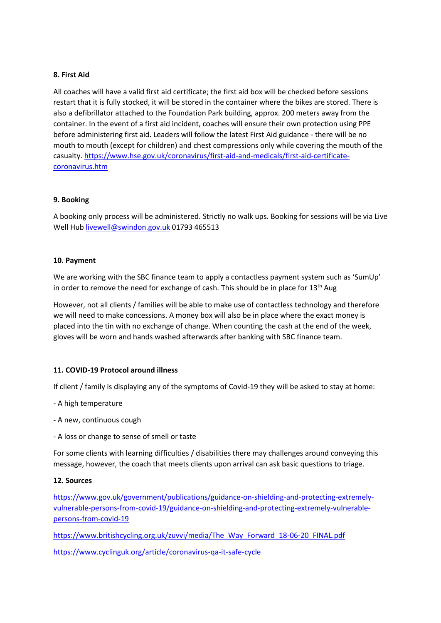### **8. First Aid**

All coaches will have a valid first aid certificate; the first aid box will be checked before sessions restart that it is fully stocked, it will be stored in the container where the bikes are stored. There is also a defibrillator attached to the Foundation Park building, approx. 200 meters away from the container. In the event of a first aid incident, coaches will ensure their own protection using PPE before administering first aid. Leaders will follow the latest First Aid guidance - there will be no mouth to mouth (except for children) and chest compressions only while covering the mouth of the casualty[. https://www.hse.gov.uk/coronavirus/first-aid-and-medicals/first-aid-certificate](https://www.hse.gov.uk/coronavirus/first-aid-and-medicals/first-aid-certificate-coronavirus.htm)[coronavirus.htm](https://www.hse.gov.uk/coronavirus/first-aid-and-medicals/first-aid-certificate-coronavirus.htm)

### **9. Booking**

A booking only process will be administered. Strictly no walk ups. Booking for sessions will be via Live Well Hu[b livewell@swindon.gov.uk](mailto:livewell@swindon.gov.uk) 01793 465513

### **10. Payment**

We are working with the SBC finance team to apply a contactless payment system such as 'SumUp' in order to remove the need for exchange of cash. This should be in place for  $13<sup>th</sup>$  Aug

However, not all clients / families will be able to make use of contactless technology and therefore we will need to make concessions. A money box will also be in place where the exact money is placed into the tin with no exchange of change. When counting the cash at the end of the week, gloves will be worn and hands washed afterwards after banking with SBC finance team.

## **11. COVID-19 Protocol around illness**

If client / family is displaying any of the symptoms of Covid-19 they will be asked to stay at home:

- A high temperature
- A new, continuous cough
- A loss or change to sense of smell or taste

For some clients with learning difficulties / disabilities there may challenges around conveying this message, however, the coach that meets clients upon arrival can ask basic questions to triage.

#### **12. Sources**

[https://www.gov.uk/government/publications/guidance-on-shielding-and-protecting-extremely](https://www.gov.uk/government/publications/guidance-on-shielding-and-protecting-extremely-vulnerable-persons-from-covid-19/guidance-on-shielding-and-protecting-extremely-vulnerable-persons-from-covid-19)[vulnerable-persons-from-covid-19/guidance-on-shielding-and-protecting-extremely-vulnerable](https://www.gov.uk/government/publications/guidance-on-shielding-and-protecting-extremely-vulnerable-persons-from-covid-19/guidance-on-shielding-and-protecting-extremely-vulnerable-persons-from-covid-19)[persons-from-covid-19](https://www.gov.uk/government/publications/guidance-on-shielding-and-protecting-extremely-vulnerable-persons-from-covid-19/guidance-on-shielding-and-protecting-extremely-vulnerable-persons-from-covid-19)

[https://www.britishcycling.org.uk/zuvvi/media/The\\_Way\\_Forward\\_18-06-20\\_FINAL.pdf](https://www.britishcycling.org.uk/zuvvi/media/The_Way_Forward_18-06-20_FINAL.pdf)

<https://www.cyclinguk.org/article/coronavirus-qa-it-safe-cycle>